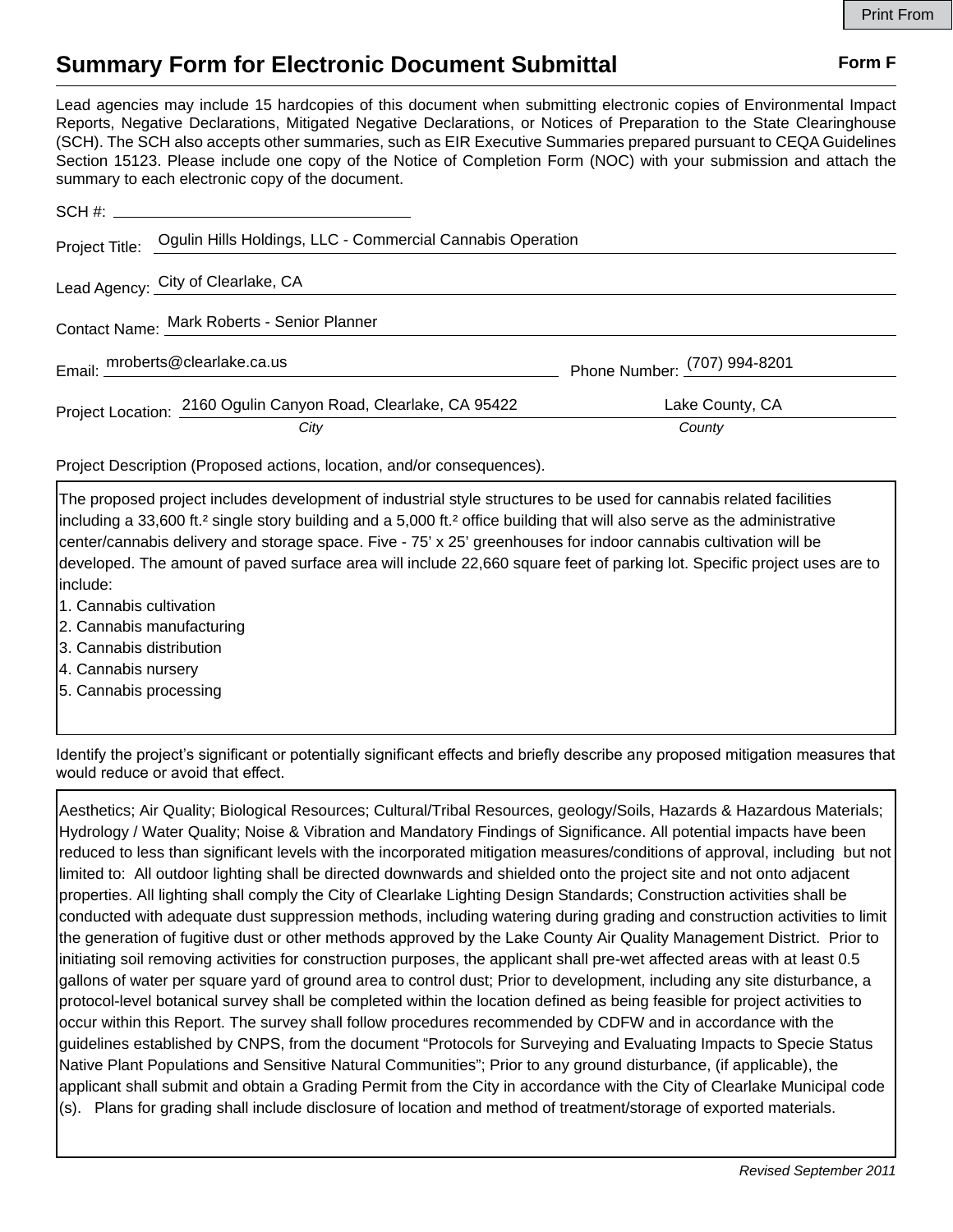## **Summary Form for Electronic Document Submittal Form F Form F**

Lead agencies may include 15 hardcopies of this document when submitting electronic copies of Environmental Impact Reports, Negative Declarations, Mitigated Negative Declarations, or Notices of Preparation to the State Clearinghouse (SCH). The SCH also accepts other summaries, such as EIR Executive Summaries prepared pursuant to CEQA Guidelines Section 15123. Please include one copy of the Notice of Completion Form (NOC) with your submission and attach the summary to each electronic copy of the document.

|                                             | Project Title: Ogulin Hills Holdings, LLC - Commercial Cannabis Operation |                              |
|---------------------------------------------|---------------------------------------------------------------------------|------------------------------|
|                                             | Lead Agency: City of Clearlake, CA                                        |                              |
| Contact Name: Mark Roberts - Senior Planner |                                                                           |                              |
|                                             | Email: mroberts@clearlake.ca.us                                           | Phone Number: (707) 994-8201 |
|                                             | Project Location: 2160 Ogulin Canyon Road, Clearlake, CA 95422            | Lake County, CA              |
|                                             | City                                                                      | County                       |

Project Description (Proposed actions, location, and/or consequences).

The proposed project includes development of industrial style structures to be used for cannabis related facilities including a 33,600 ft.² single story building and a 5,000 ft.² office building that will also serve as the administrative center/cannabis delivery and storage space. Five - 75' x 25' greenhouses for indoor cannabis cultivation will be developed. The amount of paved surface area will include 22,660 square feet of parking lot. Specific project uses are to include:

- 1. Cannabis cultivation
- 2. Cannabis manufacturing
- 3. Cannabis distribution
- 4. Cannabis nursery
- 5. Cannabis processing

Identify the project's significant or potentially significant effects and briefly describe any proposed mitigation measures that would reduce or avoid that effect.

Aesthetics; Air Quality; Biological Resources; Cultural/Tribal Resources, geology/Soils, Hazards & Hazardous Materials; Hydrology / Water Quality; Noise & Vibration and Mandatory Findings of Significance. All potential impacts have been reduced to less than significant levels with the incorporated mitigation measures/conditions of approval, including but not limited to: All outdoor lighting shall be directed downwards and shielded onto the project site and not onto adjacent properties. All lighting shall comply the City of Clearlake Lighting Design Standards; Construction activities shall be conducted with adequate dust suppression methods, including watering during grading and construction activities to limit the generation of fugitive dust or other methods approved by the Lake County Air Quality Management District. Prior to initiating soil removing activities for construction purposes, the applicant shall pre-wet affected areas with at least 0.5 gallons of water per square yard of ground area to control dust; Prior to development, including any site disturbance, a protocol-level botanical survey shall be completed within the location defined as being feasible for project activities to occur within this Report. The survey shall follow procedures recommended by CDFW and in accordance with the guidelines established by CNPS, from the document "Protocols for Surveying and Evaluating Impacts to Specie Status Native Plant Populations and Sensitive Natural Communities"; Prior to any ground disturbance, (if applicable), the applicant shall submit and obtain a Grading Permit from the City in accordance with the City of Clearlake Municipal code (s). Plans for grading shall include disclosure of location and method of treatment/storage of exported materials.